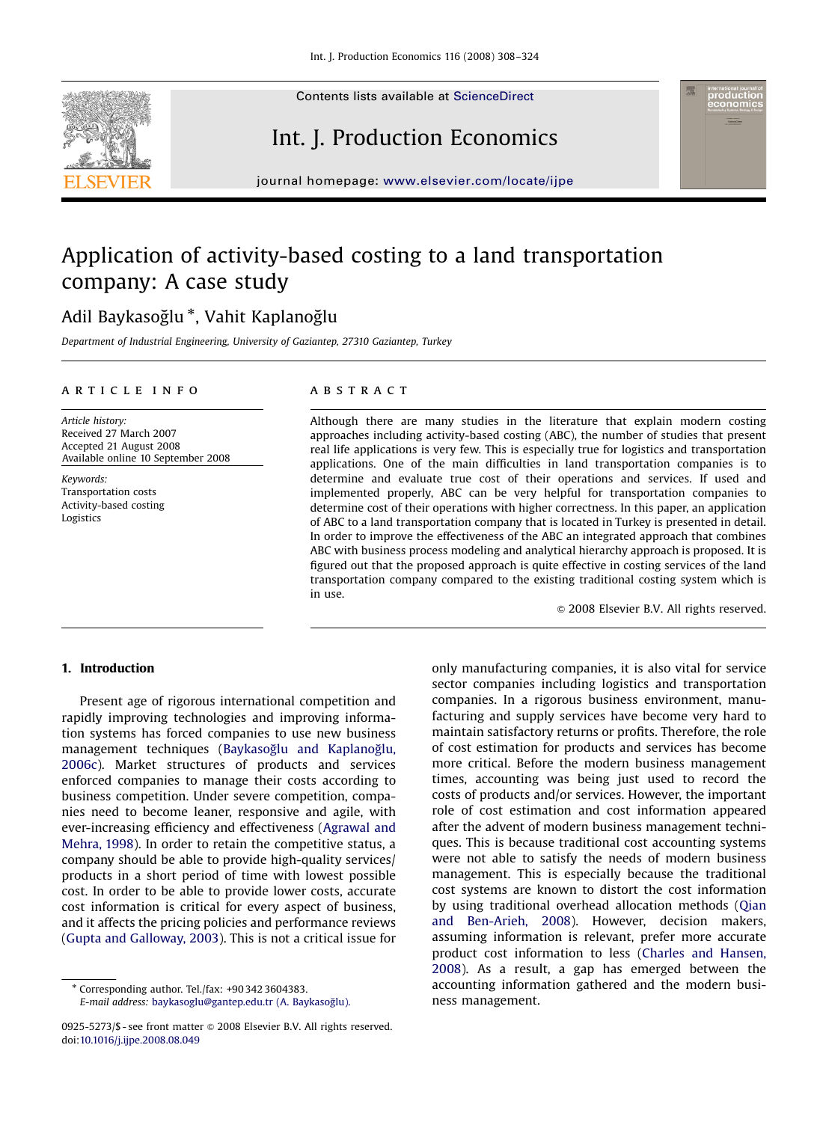Contents lists available at [ScienceDirect](www.sciencedirect.com/science/journal/proeco)





# Int. J. Production Economics

journal homepage: <www.elsevier.com/locate/ijpe>

# Application of activity-based costing to a land transportation company: A case study

### Adil Baykasoğlu \*, Vahit Kaplanoğlu

Department of Industrial Engineering, University of Gaziantep, 27310 Gaziantep, Turkey

#### article info

Article history: Received 27 March 2007 Accepted 21 August 2008 Available online 10 September 2008

Keywords: Transportation costs Activity-based costing Logistics

#### **ABSTRACT**

Although there are many studies in the literature that explain modern costing approaches including activity-based costing (ABC), the number of studies that present real life applications is very few. This is especially true for logistics and transportation applications. One of the main difficulties in land transportation companies is to determine and evaluate true cost of their operations and services. If used and implemented properly, ABC can be very helpful for transportation companies to determine cost of their operations with higher correctness. In this paper, an application of ABC to a land transportation company that is located in Turkey is presented in detail. In order to improve the effectiveness of the ABC an integrated approach that combines ABC with business process modeling and analytical hierarchy approach is proposed. It is figured out that the proposed approach is quite effective in costing services of the land transportation company compared to the existing traditional costing system which is in use.

 $© 2008 Elsevier B.V. All rights reserved.$ 

#### 1. Introduction

Present age of rigorous international competition and rapidly improving technologies and improving information systems has forced companies to use new business management techniques (Baykasoğlu and Kaplanoğlu, [2006c](#page--1-0)). Market structures of products and services enforced companies to manage their costs according to business competition. Under severe competition, companies need to become leaner, responsive and agile, with ever-increasing efficiency and effectiveness ([Agrawal and](#page--1-0) [Mehra, 1998](#page--1-0)). In order to retain the competitive status, a company should be able to provide high-quality services/ products in a short period of time with lowest possible cost. In order to be able to provide lower costs, accurate cost information is critical for every aspect of business, and it affects the pricing policies and performance reviews ([Gupta and Galloway, 2003\)](#page--1-0). This is not a critical issue for

- Corresponding author. Tel./fax: +90 342 3604383. E-mail address: baykasoglu@gantep.edu.tr (A. Baykasoğlu).

only manufacturing companies, it is also vital for service sector companies including logistics and transportation companies. In a rigorous business environment, manufacturing and supply services have become very hard to maintain satisfactory returns or profits. Therefore, the role of cost estimation for products and services has become more critical. Before the modern business management times, accounting was being just used to record the costs of products and/or services. However, the important role of cost estimation and cost information appeared after the advent of modern business management techniques. This is because traditional cost accounting systems were not able to satisfy the needs of modern business management. This is especially because the traditional cost systems are known to distort the cost information by using traditional overhead allocation methods [\(Qian](#page--1-0) [and Ben-Arieh, 2008\)](#page--1-0). However, decision makers, assuming information is relevant, prefer more accurate product cost information to less [\(Charles and Hansen,](#page--1-0) [2008](#page--1-0)). As a result, a gap has emerged between the accounting information gathered and the modern business management.

<sup>0925-5273/\$ -</sup> see front matter  $\odot$  2008 Elsevier B.V. All rights reserved. doi:[10.1016/j.ijpe.2008.08.049](dx.doi.org/10.1016/j.ijpe.2008.08.049)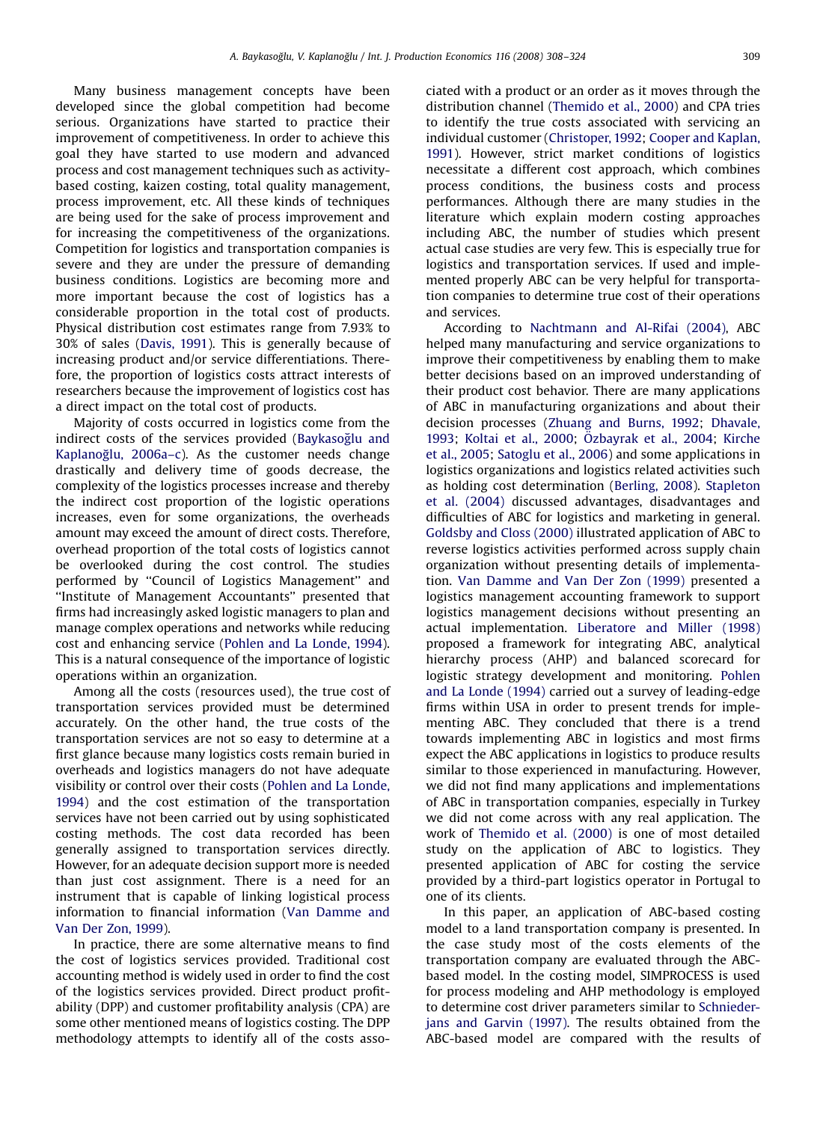Many business management concepts have been developed since the global competition had become serious. Organizations have started to practice their improvement of competitiveness. In order to achieve this goal they have started to use modern and advanced process and cost management techniques such as activitybased costing, kaizen costing, total quality management, process improvement, etc. All these kinds of techniques are being used for the sake of process improvement and for increasing the competitiveness of the organizations. Competition for logistics and transportation companies is severe and they are under the pressure of demanding business conditions. Logistics are becoming more and more important because the cost of logistics has a considerable proportion in the total cost of products. Physical distribution cost estimates range from 7.93% to 30% of sales ([Davis, 1991\)](#page--1-0). This is generally because of increasing product and/or service differentiations. Therefore, the proportion of logistics costs attract interests of researchers because the improvement of logistics cost has a direct impact on the total cost of products.

Majority of costs occurred in logistics come from the indirect costs of the services provided (Baykasoğlu and Kaplanoğlu, 2006a-c). As the customer needs change drastically and delivery time of goods decrease, the complexity of the logistics processes increase and thereby the indirect cost proportion of the logistic operations increases, even for some organizations, the overheads amount may exceed the amount of direct costs. Therefore, overhead proportion of the total costs of logistics cannot be overlooked during the cost control. The studies performed by ''Council of Logistics Management'' and ''Institute of Management Accountants'' presented that firms had increasingly asked logistic managers to plan and manage complex operations and networks while reducing cost and enhancing service [\(Pohlen and La Londe, 1994](#page--1-0)). This is a natural consequence of the importance of logistic operations within an organization.

Among all the costs (resources used), the true cost of transportation services provided must be determined accurately. On the other hand, the true costs of the transportation services are not so easy to determine at a first glance because many logistics costs remain buried in overheads and logistics managers do not have adequate visibility or control over their costs ([Pohlen and La Londe,](#page--1-0) [1994\)](#page--1-0) and the cost estimation of the transportation services have not been carried out by using sophisticated costing methods. The cost data recorded has been generally assigned to transportation services directly. However, for an adequate decision support more is needed than just cost assignment. There is a need for an instrument that is capable of linking logistical process information to financial information ([Van Damme and](#page--1-0) [Van Der Zon, 1999\)](#page--1-0).

In practice, there are some alternative means to find the cost of logistics services provided. Traditional cost accounting method is widely used in order to find the cost of the logistics services provided. Direct product profitability (DPP) and customer profitability analysis (CPA) are some other mentioned means of logistics costing. The DPP methodology attempts to identify all of the costs associated with a product or an order as it moves through the distribution channel ([Themido et al., 2000\)](#page--1-0) and CPA tries to identify the true costs associated with servicing an individual customer [\(Christoper, 1992;](#page--1-0) [Cooper and Kaplan,](#page--1-0) [1991](#page--1-0)). However, strict market conditions of logistics necessitate a different cost approach, which combines process conditions, the business costs and process performances. Although there are many studies in the literature which explain modern costing approaches including ABC, the number of studies which present actual case studies are very few. This is especially true for logistics and transportation services. If used and implemented properly ABC can be very helpful for transportation companies to determine true cost of their operations and services.

According to [Nachtmann and Al-Rifai \(2004\)](#page--1-0), ABC helped many manufacturing and service organizations to improve their competitiveness by enabling them to make better decisions based on an improved understanding of their product cost behavior. There are many applications of ABC in manufacturing organizations and about their decision processes ([Zhuang and Burns, 1992;](#page--1-0) [Dhavale,](#page--1-0) [1993;](#page--1-0) [Koltai et al., 2000;](#page--1-0) Ö[zbayrak et al., 2004;](#page--1-0) [Kirche](#page--1-0) [et al., 2005](#page--1-0); [Satoglu et al., 2006](#page--1-0)) and some applications in logistics organizations and logistics related activities such as holding cost determination ([Berling, 2008\)](#page--1-0). [Stapleton](#page--1-0) [et al. \(2004\)](#page--1-0) discussed advantages, disadvantages and difficulties of ABC for logistics and marketing in general. [Goldsby and Closs \(2000\)](#page--1-0) illustrated application of ABC to reverse logistics activities performed across supply chain organization without presenting details of implementation. [Van Damme and Van Der Zon \(1999\)](#page--1-0) presented a logistics management accounting framework to support logistics management decisions without presenting an actual implementation. [Liberatore and Miller \(1998\)](#page--1-0) proposed a framework for integrating ABC, analytical hierarchy process (AHP) and balanced scorecard for logistic strategy development and monitoring. [Pohlen](#page--1-0) [and La Londe \(1994\)](#page--1-0) carried out a survey of leading-edge firms within USA in order to present trends for implementing ABC. They concluded that there is a trend towards implementing ABC in logistics and most firms expect the ABC applications in logistics to produce results similar to those experienced in manufacturing. However, we did not find many applications and implementations of ABC in transportation companies, especially in Turkey we did not come across with any real application. The work of [Themido et al. \(2000\)](#page--1-0) is one of most detailed study on the application of ABC to logistics. They presented application of ABC for costing the service provided by a third-part logistics operator in Portugal to one of its clients.

In this paper, an application of ABC-based costing model to a land transportation company is presented. In the case study most of the costs elements of the transportation company are evaluated through the ABCbased model. In the costing model, SIMPROCESS is used for process modeling and AHP methodology is employed to determine cost driver parameters similar to [Schnieder](#page--1-0)[jans and Garvin \(1997\)](#page--1-0). The results obtained from the ABC-based model are compared with the results of